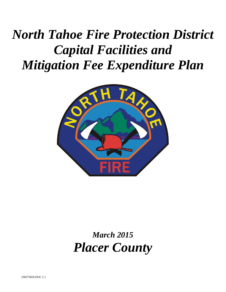# *North Tahoe Fire Protection District Capital Facilities and Mitigation Fee Expenditure Plan*



# *March 2015 Placer County*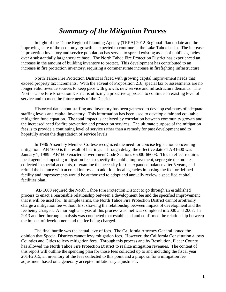### *Summary of the Mitigation Process*

In light of the Tahoe Regional Planning Agency (TRPA) 2012 Regional Plan update and the improving state of the economy, growth is expected to continue in the Lake Tahoe basin. The increase in protection inventory and service population has served to spread existing assets of public agencies over a substantially larger service base. The North Tahoe Fire Protection District has experienced an increase in the amount of building inventory to protect. This development has contributed to an increase in fire protection inventory, requiring a commensurate increase in firefighting infrastructure.

North Tahoe Fire Protection District is faced with growing capital improvement needs that exceed property tax increments. With the advent of Proposition 218, special tax or assessments are no longer valid revenue sources to keep pace with growth, new service and infrastructure demands. The North Tahoe Fire Protection District is utilizing a proactive approach to continue an existing level of service and to meet the future needs of the District.

Historical data about staffing and inventory has been gathered to develop estimates of adequate staffing levels and capital inventory. This information has been used to develop a fair and equitable mitigation fund equation. The total impact is analyzed by correlation between community growth and the increased need for fire prevention and protection services. The ultimate purpose of the mitigation fees is to provide a continuing level of service rather than a remedy for past development and to hopefully arrest the degradation of service levels.

In 1986 Assembly Member Cortese recognized the need for concise legislation concerning mitigation. AB 1600 is the result of hearings. Through delay, the effective date of AB1600 was January 1, 1989. AB1600 enacted Government Code Sections 66000-66003. This in effect requires local agencies imposing mitigation fees to specify the public improvement, segregate the monies collected in special accounts, re-examine the necessity for the expanded balance after 5 years, and refund the balance with accrued interest. In addition, local agencies imposing the fee for defined facility and improvements would be authorized to adopt and annually review a specified capital facilities plan.

AB 1600 required the North Tahoe Fire Protection District to go through an established process to enact a reasonable relationship between a development fee and the specified improvement that it will be used for. In simple terms, the North Tahoe Fire Protection District cannot arbitrarily charge a mitigation fee without first showing the relationship between impact of development and the fee being charged. A thorough analysis of this process was met was completed in 2000 and 2007. In 2013 another thorough analysis was conducted that established and confirmed the relationship between the impact of development and the fee being charged.

The final hurdle was the actual levy of fees. The California Attorney General issued the opinion that Special Districts cannot levy mitigation fees. However, the California Constitution allows Counties and Cities to levy mitigation fees. Through this process and by Resolution, Placer County has allowed the North Tahoe Fire Protection District to realize mitigation revenues. The content of this report will outline the spending plan for those fees collected up to and including the fiscal year 2014/2015, an inventory of the fees collected to this point and a proposal for a mitigation fee adjustment based on a generally accepted inflationary adjustment.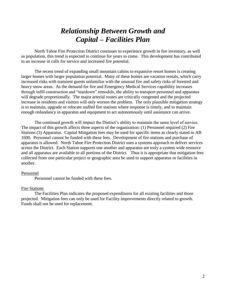### *Relationship Between Growth and Capital – Facilities Plan*

North Tahoe Fire Protection District continues to experience growth in fire inventory, as well as population, this trend is expected to continue for years to come. This development has contributed to an increase in calls for service and increased fire potential.

The recent trend of expanding small mountain cabins to expansive resort homes is creating larger homes with larger population potential. Many of these homes are vacation rentals, which carry increased risks with transient guests unfamiliar with the unusual fire and safety risks of forested and heavy snow areas. As the demand for fire and Emergency Medical Services capability increases through infill construction and "teardown" remodels, the ability to transport personnel and apparatus will degrade proportionally. The major arterial routes are critically congested and the projected increase in residents and visitors will only worsen the problem. The only plausible mitigation strategy is to maintain, upgrade or relocate staffed fire stations where response is timely, and to maintain enough redundancy in apparatus and equipment to act autonomously until assistance can arrive.

The continued growth will impact the District's ability to maintain the same level of service. The impact of this growth affects three aspects of the organization: (1) Personnel required (2) Fire Stations (3) Apparatus. Capital Mitigation fees may be used for specific items as clearly stated in AB 1600. Personnel cannot be funded with these fees. Development of fire stations and purchase of apparatus is allowed. North Tahoe Fire Protection District uses a systems approach to deliver services across the District. Each Station supports one another and apparatus are truly a system wide resource and all apparatus are available to all portions of the District. Thus it is appropriate that mitigation fees collected from one particular project or geographic area be used to support apparatus or facilities in another.

#### Personnel

Personnel cannot be funded with these fees.

#### Fire Stations

The Facilities Plan indicates the proposed expenditures for all existing facilities and those projected. Mitigation fees can only be used for Facility improvements directly related to growth. Funds shall not be used for replacement.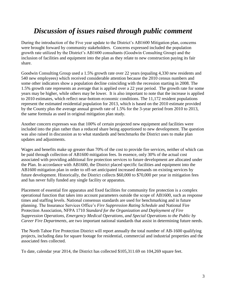# *Discussion of issues raised through public comment*

During the introduction of the Five year update to the District's AB1600 Mitigation plan, concerns were brought forward by community stakeholders. Concerns expressed included the population growth rate utilized by the District's AB1600 consultants (Goodwin Consulting Group) and the inclusion of facilities and equipment into the plan as they relate to new construction paying its fair share.

Goodwin Consulting Group used a 1.5% growth rate over 22 years (equaling 4,330 new residents and 540 new employees) which received considerable attention because the 2010 census numbers and some other indicators show a population decline coinciding with the recession starting in 2008. The 1.5% growth rate represents an average that is applied over a 22 year period. The growth rate for some years may be higher, while others may be lower. It is also important to note that the increase is applied to 2010 estimates, which reflect near-bottom economic conditions. The 11,172 resident populations represent the estimated residential population for 2013, which is based on the 2010 estimate provided by the County plus the average annual growth rate of 1.5% for the 3-year period from 2010 to 2013, the same formula as used in original mitigation plan study.

Another concern expresses was that 100% of certain projected new equipment and facilities were included into the plan rather than a reduced share being apportioned to new development. The question was also raised in discussion as to what standards and benchmarks the District uses to make plan updates and adjustments.

Wages and benefits make up greater than 70% of the cost to provide fire services, neither of which can be paid through collection of AB1600 mitigation fees. In essence, only 30% of the actual cost associated with providing additional fire protection services to future development are allocated under the Plan. In accordance with AB1600, the District placed specific facilities and equipment into the AB1600 mitigation plan in order to off-set anticipated increased demands on existing services by future development. Historically, the District collects \$60,000 to \$70,000 per year in mitigation fees and has never fully funded any single facility or apparatus.

Placement of essential fire apparatus and fixed facilities for community fire protection is a complex operational function that takes into account parameters outside the scope of AB1600, such as response times and staffing levels. National consensus standards are used for benchmarking and in future planning. The Insurance Services Office's *Fire Suppression Rating Schedule* and National Fire Protection Association, NFPA 1710 *Standard for the Organization and Deployment of Fire Suppression Operations, Emergency Medical Operations, and Special Operations to the Public by Career Fire Departments*, are two important national standards that assist in determining future needs.

The North Tahoe Fire Protection District will report annually the total number of AB-1600 qualifying projects, including data for square footage for residential, commercial and industrial properties and the associated fees collected.

To date, calendar year 2014, the District has collected \$105,311.69 on 104,269 square feet.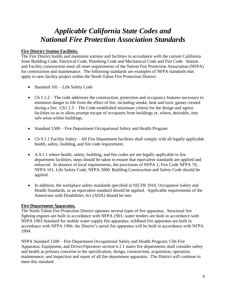## *Applicable California State Codes and National Fire Protection Association Standards*

#### **Fire District Station Facilities.**

The Fire District builds and maintains stations and facilities in accordance with the current California State Building Code, Electrical Code, Plumbing Code and Mechanical Code and Fire Code. Station and Facility construction must all meet requirements of the Nation Fire Protection Association (NFPA) for construction and maintenance. The following standards are examples of NFPA standards that apply to new facility project within the North Tahoe Fire Protection District.

- Standard 101 Life Safety Code
- Ch 1.1.2 The code addresses the construction, protection and occupancy features necessary to minimize danger to life from the effect of fire, including smoke, heat and toxic gasses created during a fire. Ch1.1.3 – The Code established minimum criteria for the design and egress facilities so as to allow prompt escape of occupants from buildings or, where, desirable, into safe areas within buildings.
- Standard 1500 Fire Department Occupational Safety and Health Program
- Ch 9.1.1 Facility Safety All Fire Department facilities shall comply with all legally applicable health, safety, building, and fire code requirement.
- A.9.1.1 where health, safety, building, and fire codes are not legally applicable to fire department facilities; steps should be taken to ensure that equivalent standards are applied and enforced. In absence of local requirements, the provisions of NFPA 1; Fire Code NFPA 70; NFPA 101, Life Safety Code; NFPA 5000, Building Construction and Safety Code should be applied.
- In addition, the workplace safety standards specified in 92CFR 1910, Occupation Safety and Health Standards, or an equivalent standard should be applied. Applicable requirements of the Americans with Disabilities Act (ADA) should be met.

#### **Fire Department Apparatus.**

The North Tahoe Fire Protection District operates several types of fire apparatus. Structural fire fighting engines are built in accordance with NFPA 1901; water tenders are built in accordance with NFPA 1903 Standard for mobile water supply fire apparatus; wildland fire apparatus are built in accordance with NFPA 1906; the District's aerial fire apparatus will be built in accordance with NFPA 1904.

NFPA Standard 1500 – Fire Department Occupational Safety and Health Program; Ch6 Fire Apparatus, Equipment, and Driver/Operators section 6.1.1 states fire departments shall consider safety and health as primary concerns in the specification, design, construction, acquisition, operation, maintenance, and inspection and repair of all fire department apparatus. The District will continue to meet this standard.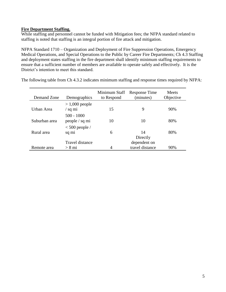#### **Fire Department Staffing.**

While staffing and personnel cannot be funded with Mitigation fees; the NFPA standard related to staffing is noted that staffing is an integral portion of fire attack and mitigation.

NFPA Standard 1710 – Organization and Deployment of Fire Suppression Operations, Emergency Medical Operations, and Special Operations to the Public by Career Fire Departments; Ch 4.3 Staffing and deployment states staffing in the fire department shall identify minimum staffing requirements to ensure that a sufficient number of members are available to operate safely and effectively. It is the District's intention to meet this standard.

| Demand Zone   | Demographics                           | Minimum Staff<br>to Respond | Response Time<br>(minutes)      | Meets<br>Objective |
|---------------|----------------------------------------|-----------------------------|---------------------------------|--------------------|
| Urban Area    | $>1,000$ people<br>$\frac{1}{2}$ sq mi | 15                          | 9                               | 90%                |
| Suburban area | $500 - 1000$<br>people / sq mi         | 10                          | 10                              | 80%                |
| Rural area    | $< 500$ people /<br>sq mi              | 6                           | 14<br>Directly                  | 80%                |
| Remote area   | Travel distance<br>$> 8$ mi            | 4                           | dependent on<br>travel distance | 90%                |

The following table from Ch 4.3.2 indicates minimum staffing and response times required by NFPA: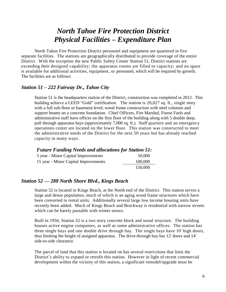### *North Tahoe Fire Protection District Physical Facilities – Expenditure Plan*

North Tahoe Fire Protection District personnel and equipment are quartered in five separate facilities. The stations are geographically distributed to provide coverage of the entire District. With the exception the new Public Safety Center Station 51, District stations are exceeding their designed capability; the apparatus rooms are filled to capacity; and no space is available for additional activities, equipment, or personnel, which will be required by growth. The facilities are as follows:

#### *Station 51 – 222 Fairway Dr., Tahoe City*

Station 51 is the headquarters station of the District, construction was completed in 2012. This building achieve a LEED "Gold" certification. The station is 20,027 sq. ft., single story with a full sub-floor or basement level; wood frame construction with steel columns and support beams on a concrete foundation. Chief Officers, Fire Marshal, Forest Fuels and administrative staff have offices on the first floor of the building along with 5 double deep, pull through apparatus bays (approximately 7,000 sq. ft.). Staff quarters and an emergency operations center are located on the lower floor. This station was constructed to meet the administrative needs of the District for the next 50 years but has already reached capacity in many ways.

#### *Future Funding Needs and allocations for Station 51:*

| 5 year - Minor Capital Improvements  | 50,000  |
|--------------------------------------|---------|
| 15 year - Minor Capital Improvements | 100,000 |
|                                      | 150,000 |

#### *Station 52 — 288 North Shore Blvd., Kings Beach*

Station 52 is located in Kings Beach, at the North end of the District. This station serves a large and dense population, much of which is an aging wood frame structures which have been converted to rental units. Additionally several large low income housing units have recently been added. Much of Kings Beach and Brockway is residential with narrow streets which can be barely passable with winter snows.

Built in 1956, Station 52 is a two story concrete block and wood structure. The building houses active engine companies, as well as some administrative offices. The station has three single bays and one double drive through bay. The single bays have 10' high doors, thus limiting the height of assigned apparatus. The drive-through bay has 12' doors and 14' side-to-side clearance.

The parcel of land that this station is located on has several restrictions that limit the District's ability to expand or retrofit this station. However in light of recent commercial development within the vicinity of this station, a significant remodel/upgrade must be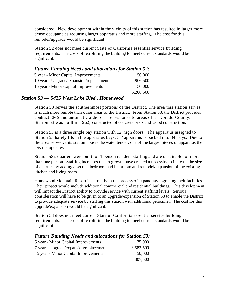considered. New development within the vicinity of this station has resulted in larger more dense occupancies requiring larger apparatus and more staffing. The cost for this remodel/upgrade would be significant.

Station 52 does not meet current State of California essential service building requirements. The costs of retrofitting the building to meet current standards would be significant.

### *Future Funding Needs and allocations for Station 52:* 5 year - Minor Capital Improvements 150,000 10 year - Upgrade/expansion/replacement 4,906,500 15 year - Minor Capital Improvements 150,000 5,206,500

### *Station 53 — 5425 West Lake Blvd., Homewood*

Station 53 serves the southernmost portions of the District. The area this station serves is much more remote than other areas of the District. From Station 53, the District provides contract EMS and automatic aide for fire response to areas of El Dorado County. Station 53 was built in 1962, constructed of concrete brick and wood construction.

Station 53 is a three single bay station with 12' high doors. The apparatus assigned to Station 53 barely fits in the apparatus bays; 31' apparatus is packed into 34' bays. Due to the area served; this station houses the water tender, one of the largest pieces of apparatus the District operates.

Station 53's quarters were built for 1 person resident staffing and are unsuitable for more than one person. Staffing increases due to growth have created a necessity to increase the size of quarters by adding a second bedroom and bathroom and remodel/expansion of the existing kitchen and living room.

Homewood Mountain Resort is currently in the process of expanding/upgrading their facilities. Their project would include additional commercial and residential buildings. This development will impact the District ability to provide service with current staffing levels. Serious consideration will have to be given to an upgrade/expansion of Station 53 to enable the District to provide adequate service by staffing this station with additional personnel. The cost for this upgrade/expansion would be significant.

Station 53 does not meet current State of California essential service building requirements. The costs of retrofitting the building to meet current standards would be significant

| <b>Future Funding Needs and allocations for Station 53:</b> |           |
|-------------------------------------------------------------|-----------|
| 5 year - Minor Capital Improvements                         | 75,000    |
| 7 year - Upgrade/expansion/replacement                      | 3,582,500 |
| 15 year - Minor Capital Improvements                        | 150,000   |
|                                                             | 3,807,500 |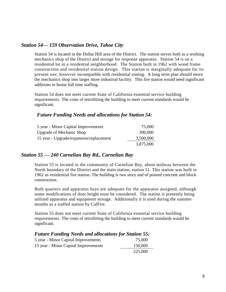#### *Station 54— 159 Observation Drive, Tahoe City*

Station 54 is located in the Dollar Hill area of the District. The station serves both as a working mechanics shop of the District and storage for response apparatus. Station 54 is on a residential lot in a residential neighborhood. The Station built in 1962 with wood frame construction and residential station design. This station is marginally adequate for its present use; however incompatible with residential zoning. A long term plan should move the mechanics shop into larger more industrial facility. This fire station would need significant additions to house full time staffing.

Station 54 does not meet current State of California essential service building requirements. The costs of retrofitting the building to meet current standards would be significant.

### *Future Funding Needs and allocations for Station 54:*

| 5 year - Minor Capital Improvements     | 75,000    |
|-----------------------------------------|-----------|
| <b>Upgrade of Mechanic Shop</b>         | 300,000   |
| 15 year - Upgrade/expansion/replacement | 3,500,000 |
|                                         | 3,875,000 |

#### *Station 55 — 240 Carnelian Bay Rd., Carnelian Bay*

Station 55 is located in the community of Carnelian Bay, about midway between the North boundary of the District and the main station, station 51. This station was built in 1962 as residential fire station. The building is two story and of poured concrete and block construction.

Both quarters and apparatus bays are adequate for the apparatus assigned, although some modifications of door height must be considered. The station is presently being utilized apparatus and equipment storage. Additionally it is used during the summer months as a staffed station by CalFire.

Station 55 does not meet current State of California essential service building requirements. The costs of retrofitting the building to meet current standards would be significant.

### *Future Funding Needs and allocations for Station 55:*

| 5 year - Minor Capital Improvements  | 75,000  |
|--------------------------------------|---------|
| 15 year - Minor Capital Improvements | 150,000 |
|                                      | 225,000 |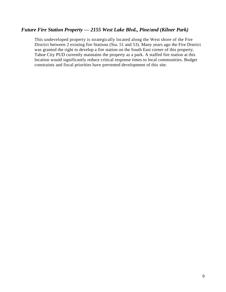### *Future Fire Station Property — 2155 West Lake Blvd., Pine/and (Kilner Park)*

This undeveloped property is strategically located along the West shore of the Fire District between 2 existing fire Stations (Sta. 51 and 53). Many years ago the Fire District was granted the right to develop a fire station on the South East corner of this property. Tahoe City PUD currently maintains the property as a park. A staffed fire station at this location would significantly reduce critical response times to local communities. Budget constraints and fiscal priorities have prevented development of this site.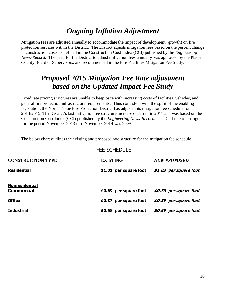# *Ongoing Inflation Adjustment*

Mitigation fees are adjusted annually to accommodate the impact of development (growth) on fire protection services within the District. The District adjusts mitigation fees based on the percent change in construction costs as defined in the Construction Cost Index (CCI) published by the *Engineering News-Record.* The need for the District to adjust mitigation fees annually was approved by the Placer County Board of Supervisors, and recommended in the Fire Facilities Mitigation Fee Study.

### *Proposed 2015 Mitigation Fee Rate adjustment based on the Updated Impact Fee Study*

Fixed rate pricing structures are unable to keep pace with increasing costs of facilities, vehicles, and general fire protection infrastructure requirements. Thus consistent with the spirit of the enabling legislation, the North Tahoe Fire Protection District has adjusted its mitigation fee schedule for 2014/2015. The District's last mitigation fee structure increase occurred in 2011 and was based on the Construction Cost Index (CCI) published by the *Engineering News-Record.* The CCI rate of change for the period November 2013 thru November 2014 was 2.5%.

The below chart outlines the existing and proposed rate structure for the mitigation fee schedule.

|                              | <b>FEE SCHEDULE</b>    |                        |
|------------------------------|------------------------|------------------------|
| <b>CONSTRUCTION TYPE</b>     | <b>EXISTING</b>        | <b>NEW PROPOSED</b>    |
| Residential                  | \$1.01 per square foot | \$1.03 per square foot |
| Nonresidential<br>Commercial | \$0.69 per square foot | \$0.70 per square foot |
| Office                       | \$0.87 per square foot | \$0.89 per square foot |
| Industrial                   | \$0.58 per square foot | \$0.59 per square foot |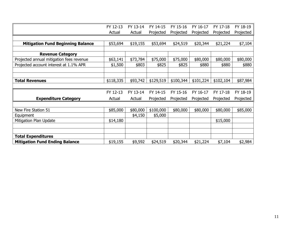|                                          | FY 12-13  | FY 13-14 | FY 14-15  | FY 15-16  | FY 16-17  | FY 17-18  | FY 18-19  |
|------------------------------------------|-----------|----------|-----------|-----------|-----------|-----------|-----------|
|                                          | Actual    | Actual   | Projected | Projected | Projected | Projected | Projected |
|                                          |           |          |           |           |           |           |           |
| <b>Mitigation Fund Beginning Balance</b> | \$53,694  | \$19,155 | \$53,694  | \$24,519  | \$20,344  | \$21,224  | \$7,104   |
|                                          |           |          |           |           |           |           |           |
| <b>Revenue Category</b>                  |           |          |           |           |           |           |           |
| Projected annual mitigation fees revenue | \$63,141  | \$73,784 | \$75,000  | \$75,000  | \$80,000  | \$80,000  | \$80,000  |
| Projected account interest at 1.1% APR   | \$1,500   | \$803    | \$825     | \$825     | \$880     | \$880     | \$880     |
|                                          |           |          |           |           |           |           |           |
|                                          |           |          |           |           |           |           |           |
| <b>Total Revenues</b>                    | \$118,335 | \$93,742 | \$129,519 | \$100,344 | \$101,224 | \$102,104 | \$87,984  |
|                                          |           |          |           |           |           |           |           |
|                                          | FY 12-13  | FY 13-14 | FY 14-15  | FY 15-16  | FY 16-17  | FY 17-18  | FY 18-19  |
| <b>Expenditure Category</b>              | Actual    | Actual   | Projected | Projected | Projected | Projected | Projected |
|                                          |           |          |           |           |           |           |           |
| New Fire Station 51                      | \$85,000  | \$80,000 | \$100,000 | \$80,000  | \$80,000  | \$80,000  | \$85,000  |
| Equipment                                |           | \$4,150  | \$5,000   |           |           |           |           |
| Mitigation Plan Update                   | \$14,180  |          |           |           |           | \$15,000  |           |
|                                          |           |          |           |           |           |           |           |
|                                          |           |          |           |           |           |           |           |
| <b>Total Expenditures</b>                |           |          |           |           |           |           |           |
| <b>Mitigation Fund Ending Balance</b>    | \$19,155  | \$9,592  | \$24,519  | \$20,344  | \$21,224  | \$7,104   | \$2,984   |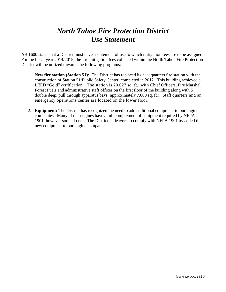## *North Tahoe Fire Protection District Use Statement*

AB 1600 states that a District must have a statement of use to which mitigation fees are to be assigned. For the fiscal year 2014/2015, the fire mitigation fees collected within the North Tahoe Fire Protection District will be utilized towards the following programs:

- 1. **New fire station (Station 51):** The District has replaced its headquarters fire station with the construction of Station 51/Public Safety Center, completed in 2012. This building achieved a LEED "Gold" certification. The station is 20,027 sq. ft., with Chief Officers, Fire Marshal, Forest Fuels and administrative staff offices on the first floor of the building along with 5 double deep, pull through apparatus bays (approximately 7,000 sq. ft.). Staff quarters and an emergency operations center are located on the lower floor.
- 2. **Equipment:** The District has recognized the need to add additional equipment to our engine companies. Many of our engines have a full complement of equipment required by NFPA 1901, however some do not. The District endeavors to comply with NFPA 1901 by added this new equipment to our engine companies.